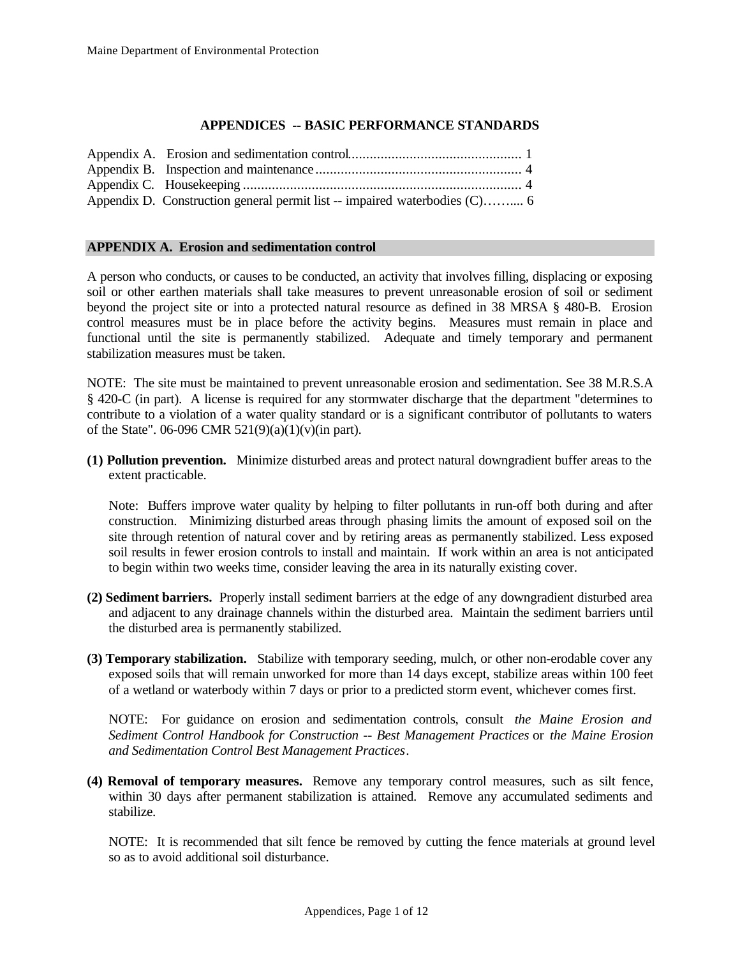## **APPENDICES -- BASIC PERFORMANCE STANDARDS**

| Appendix D. Construction general permit list -- impaired waterbodies (C) 6 |  |
|----------------------------------------------------------------------------|--|

#### **APPENDIX A. Erosion and sedimentation control**

A person who conducts, or causes to be conducted, an activity that involves filling, displacing or exposing soil or other earthen materials shall take measures to prevent unreasonable erosion of soil or sediment beyond the project site or into a protected natural resource as defined in 38 MRSA § 480-B. Erosion control measures must be in place before the activity begins. Measures must remain in place and functional until the site is permanently stabilized. Adequate and timely temporary and permanent stabilization measures must be taken.

NOTE: The site must be maintained to prevent unreasonable erosion and sedimentation. See 38 M.R.S.A § 420-C (in part). A license is required for any stormwater discharge that the department "determines to contribute to a violation of a water quality standard or is a significant contributor of pollutants to waters of the State". 06-096 CMR 521(9)(a)(1)(v)(in part).

**(1) Pollution prevention.** Minimize disturbed areas and protect natural downgradient buffer areas to the extent practicable.

Note: Buffers improve water quality by helping to filter pollutants in run-off both during and after construction. Minimizing disturbed areas through phasing limits the amount of exposed soil on the site through retention of natural cover and by retiring areas as permanently stabilized. Less exposed soil results in fewer erosion controls to install and maintain. If work within an area is not anticipated to begin within two weeks time, consider leaving the area in its naturally existing cover.

- **(2) Sediment barriers.** Properly install sediment barriers at the edge of any downgradient disturbed area and adjacent to any drainage channels within the disturbed area. Maintain the sediment barriers until the disturbed area is permanently stabilized.
- **(3) Temporary stabilization.** Stabilize with temporary seeding, mulch, or other non-erodable cover any exposed soils that will remain unworked for more than 14 days except, stabilize areas within 100 feet of a wetland or waterbody within 7 days or prior to a predicted storm event, whichever comes first.

NOTE: For guidance on erosion and sedimentation controls, consult *the Maine Erosion and Sediment Control Handbook for Construction -- Best Management Practices* or *the Maine Erosion and Sedimentation Control Best Management Practices*.

**(4) Removal of temporary measures.** Remove any temporary control measures, such as silt fence, within 30 days after permanent stabilization is attained. Remove any accumulated sediments and stabilize.

NOTE: It is recommended that silt fence be removed by cutting the fence materials at ground level so as to avoid additional soil disturbance.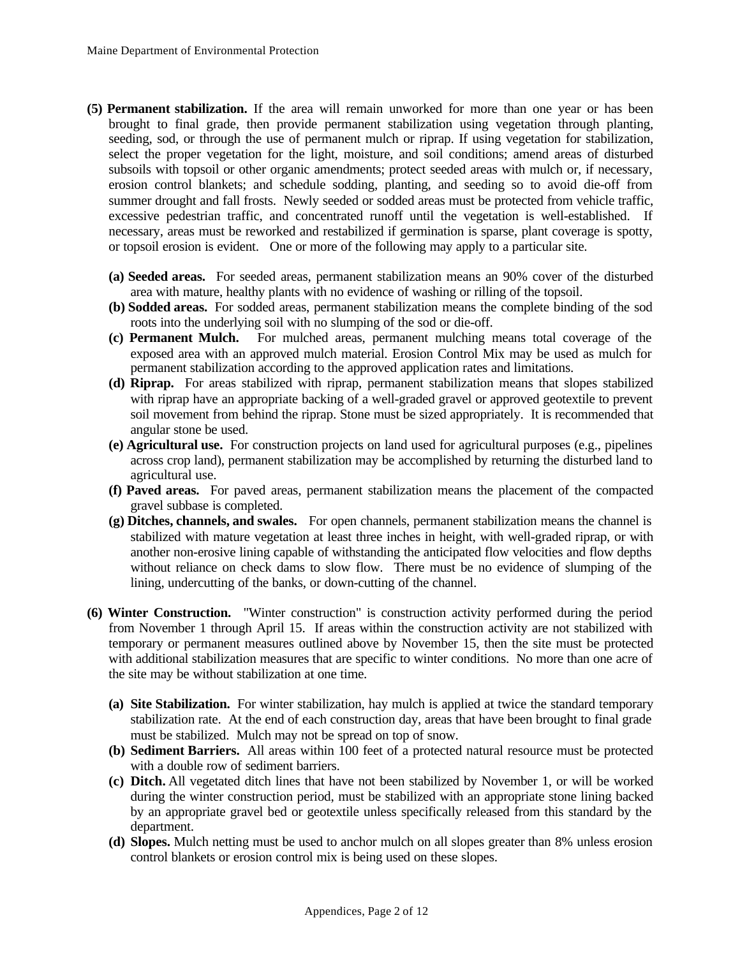- **(5) Permanent stabilization.** If the area will remain unworked for more than one year or has been brought to final grade, then provide permanent stabilization using vegetation through planting, seeding, sod, or through the use of permanent mulch or riprap. If using vegetation for stabilization, select the proper vegetation for the light, moisture, and soil conditions; amend areas of disturbed subsoils with topsoil or other organic amendments; protect seeded areas with mulch or, if necessary, erosion control blankets; and schedule sodding, planting, and seeding so to avoid die-off from summer drought and fall frosts. Newly seeded or sodded areas must be protected from vehicle traffic, excessive pedestrian traffic, and concentrated runoff until the vegetation is well-established. If necessary, areas must be reworked and restabilized if germination is sparse, plant coverage is spotty, or topsoil erosion is evident. One or more of the following may apply to a particular site.
	- **(a) Seeded areas.** For seeded areas, permanent stabilization means an 90% cover of the disturbed area with mature, healthy plants with no evidence of washing or rilling of the topsoil.
	- **(b) Sodded areas.** For sodded areas, permanent stabilization means the complete binding of the sod roots into the underlying soil with no slumping of the sod or die-off.
	- **(c) Permanent Mulch.** For mulched areas, permanent mulching means total coverage of the exposed area with an approved mulch material. Erosion Control Mix may be used as mulch for permanent stabilization according to the approved application rates and limitations.
	- **(d) Riprap.** For areas stabilized with riprap, permanent stabilization means that slopes stabilized with riprap have an appropriate backing of a well-graded gravel or approved geotextile to prevent soil movement from behind the riprap. Stone must be sized appropriately. It is recommended that angular stone be used.
	- **(e) Agricultural use.** For construction projects on land used for agricultural purposes (e.g., pipelines across crop land), permanent stabilization may be accomplished by returning the disturbed land to agricultural use.
	- **(f) Paved areas.** For paved areas, permanent stabilization means the placement of the compacted gravel subbase is completed.
	- **(g) Ditches, channels, and swales.** For open channels, permanent stabilization means the channel is stabilized with mature vegetation at least three inches in height, with well-graded riprap, or with another non-erosive lining capable of withstanding the anticipated flow velocities and flow depths without reliance on check dams to slow flow. There must be no evidence of slumping of the lining, undercutting of the banks, or down-cutting of the channel.
- **(6) Winter Construction.** "Winter construction" is construction activity performed during the period from November 1 through April 15. If areas within the construction activity are not stabilized with temporary or permanent measures outlined above by November 15, then the site must be protected with additional stabilization measures that are specific to winter conditions. No more than one acre of the site may be without stabilization at one time.
	- **(a) Site Stabilization.** For winter stabilization, hay mulch is applied at twice the standard temporary stabilization rate. At the end of each construction day, areas that have been brought to final grade must be stabilized. Mulch may not be spread on top of snow.
	- **(b) Sediment Barriers.** All areas within 100 feet of a protected natural resource must be protected with a double row of sediment barriers.
	- **(c) Ditch.** All vegetated ditch lines that have not been stabilized by November 1, or will be worked during the winter construction period, must be stabilized with an appropriate stone lining backed by an appropriate gravel bed or geotextile unless specifically released from this standard by the department.
	- **(d) Slopes.** Mulch netting must be used to anchor mulch on all slopes greater than 8% unless erosion control blankets or erosion control mix is being used on these slopes.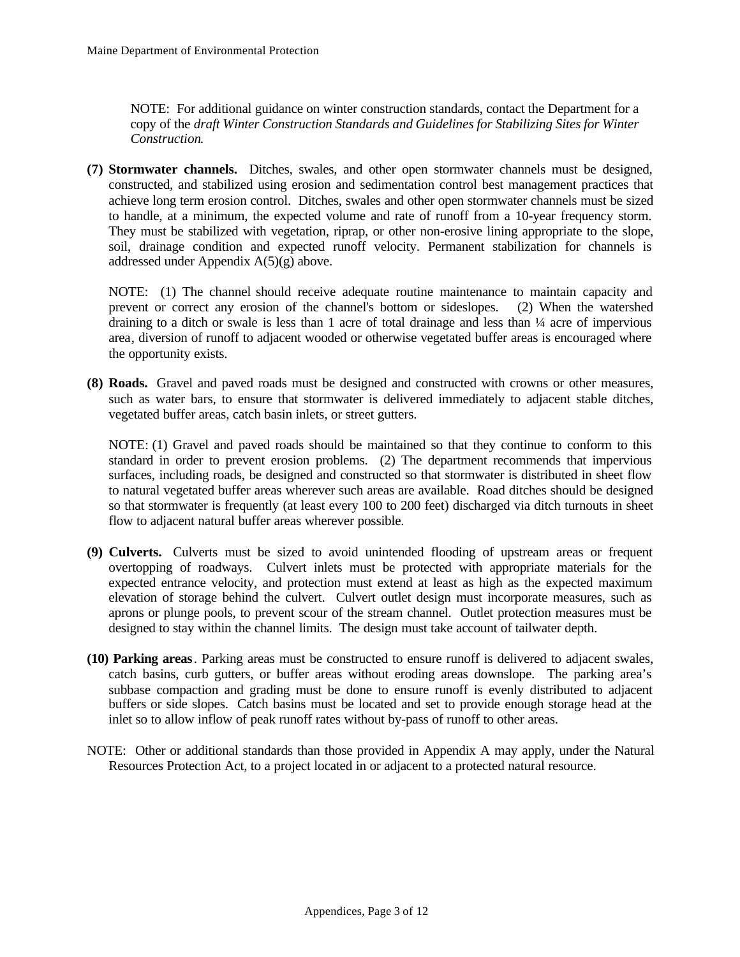NOTE: For additional guidance on winter construction standards, contact the Department for a copy of the *draft Winter Construction Standards and Guidelines for Stabilizing Sites for Winter Construction*.

**(7) Stormwater channels.** Ditches, swales, and other open stormwater channels must be designed, constructed, and stabilized using erosion and sedimentation control best management practices that achieve long term erosion control. Ditches, swales and other open stormwater channels must be sized to handle, at a minimum, the expected volume and rate of runoff from a 10-year frequency storm. They must be stabilized with vegetation, riprap, or other non-erosive lining appropriate to the slope, soil, drainage condition and expected runoff velocity. Permanent stabilization for channels is addressed under Appendix A(5)(g) above.

NOTE: (1) The channel should receive adequate routine maintenance to maintain capacity and prevent or correct any erosion of the channel's bottom or sideslopes. (2) When the watershed draining to a ditch or swale is less than 1 acre of total drainage and less than ¼ acre of impervious area, diversion of runoff to adjacent wooded or otherwise vegetated buffer areas is encouraged where the opportunity exists.

**(8) Roads.** Gravel and paved roads must be designed and constructed with crowns or other measures, such as water bars, to ensure that stormwater is delivered immediately to adjacent stable ditches, vegetated buffer areas, catch basin inlets, or street gutters.

NOTE: (1) Gravel and paved roads should be maintained so that they continue to conform to this standard in order to prevent erosion problems. (2) The department recommends that impervious surfaces, including roads, be designed and constructed so that stormwater is distributed in sheet flow to natural vegetated buffer areas wherever such areas are available. Road ditches should be designed so that stormwater is frequently (at least every 100 to 200 feet) discharged via ditch turnouts in sheet flow to adjacent natural buffer areas wherever possible.

- **(9) Culverts.** Culverts must be sized to avoid unintended flooding of upstream areas or frequent overtopping of roadways. Culvert inlets must be protected with appropriate materials for the expected entrance velocity, and protection must extend at least as high as the expected maximum elevation of storage behind the culvert. Culvert outlet design must incorporate measures, such as aprons or plunge pools, to prevent scour of the stream channel. Outlet protection measures must be designed to stay within the channel limits. The design must take account of tailwater depth.
- **(10) Parking areas**. Parking areas must be constructed to ensure runoff is delivered to adjacent swales, catch basins, curb gutters, or buffer areas without eroding areas downslope. The parking area's subbase compaction and grading must be done to ensure runoff is evenly distributed to adjacent buffers or side slopes. Catch basins must be located and set to provide enough storage head at the inlet so to allow inflow of peak runoff rates without by-pass of runoff to other areas.
- NOTE: Other or additional standards than those provided in Appendix A may apply, under the Natural Resources Protection Act, to a project located in or adjacent to a protected natural resource.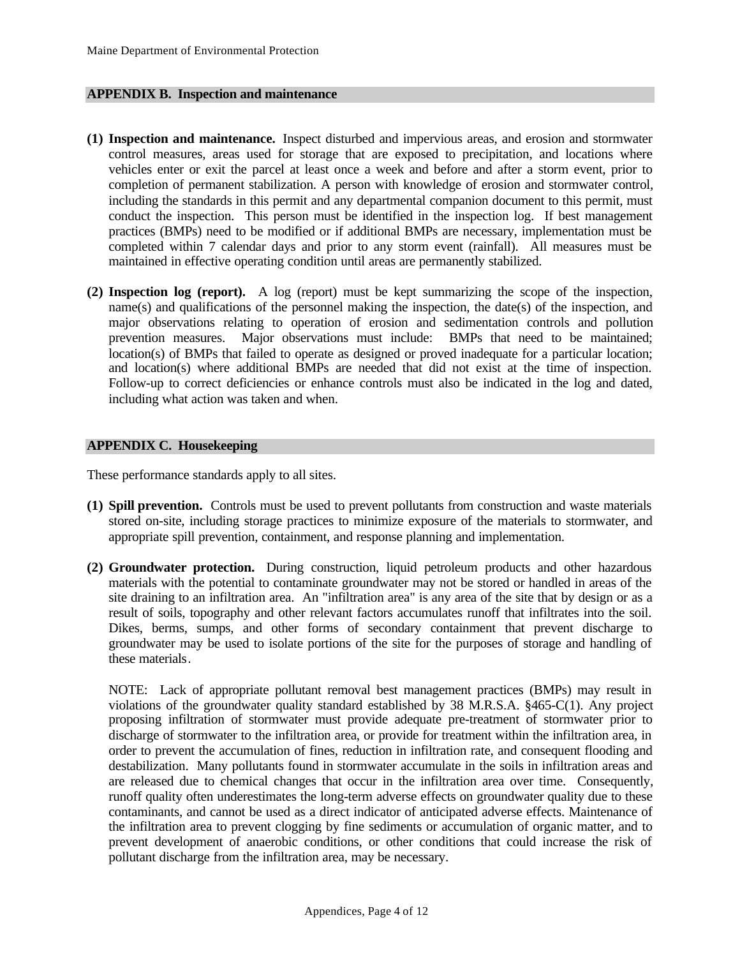#### **APPENDIX B. Inspection and maintenance**

- **(1) Inspection and maintenance.** Inspect disturbed and impervious areas, and erosion and stormwater control measures, areas used for storage that are exposed to precipitation, and locations where vehicles enter or exit the parcel at least once a week and before and after a storm event, prior to completion of permanent stabilization. A person with knowledge of erosion and stormwater control, including the standards in this permit and any departmental companion document to this permit, must conduct the inspection. This person must be identified in the inspection log. If best management practices (BMPs) need to be modified or if additional BMPs are necessary, implementation must be completed within 7 calendar days and prior to any storm event (rainfall). All measures must be maintained in effective operating condition until areas are permanently stabilized.
- **(2) Inspection log (report).** A log (report) must be kept summarizing the scope of the inspection, name(s) and qualifications of the personnel making the inspection, the date(s) of the inspection, and major observations relating to operation of erosion and sedimentation controls and pollution prevention measures. Major observations must include: BMPs that need to be maintained; location(s) of BMPs that failed to operate as designed or proved inadequate for a particular location; and location(s) where additional BMPs are needed that did not exist at the time of inspection. Follow-up to correct deficiencies or enhance controls must also be indicated in the log and dated, including what action was taken and when.

#### **APPENDIX C. Housekeeping**

These performance standards apply to all sites.

- **(1) Spill prevention.** Controls must be used to prevent pollutants from construction and waste materials stored on-site, including storage practices to minimize exposure of the materials to stormwater, and appropriate spill prevention, containment, and response planning and implementation.
- **(2) Groundwater protection.** During construction, liquid petroleum products and other hazardous materials with the potential to contaminate groundwater may not be stored or handled in areas of the site draining to an infiltration area. An "infiltration area" is any area of the site that by design or as a result of soils, topography and other relevant factors accumulates runoff that infiltrates into the soil. Dikes, berms, sumps, and other forms of secondary containment that prevent discharge to groundwater may be used to isolate portions of the site for the purposes of storage and handling of these materials.

NOTE: Lack of appropriate pollutant removal best management practices (BMPs) may result in violations of the groundwater quality standard established by 38 M.R.S.A. §465-C(1). Any project proposing infiltration of stormwater must provide adequate pre-treatment of stormwater prior to discharge of stormwater to the infiltration area, or provide for treatment within the infiltration area, in order to prevent the accumulation of fines, reduction in infiltration rate, and consequent flooding and destabilization. Many pollutants found in stormwater accumulate in the soils in infiltration areas and are released due to chemical changes that occur in the infiltration area over time. Consequently, runoff quality often underestimates the long-term adverse effects on groundwater quality due to these contaminants, and cannot be used as a direct indicator of anticipated adverse effects. Maintenance of the infiltration area to prevent clogging by fine sediments or accumulation of organic matter, and to prevent development of anaerobic conditions, or other conditions that could increase the risk of pollutant discharge from the infiltration area, may be necessary.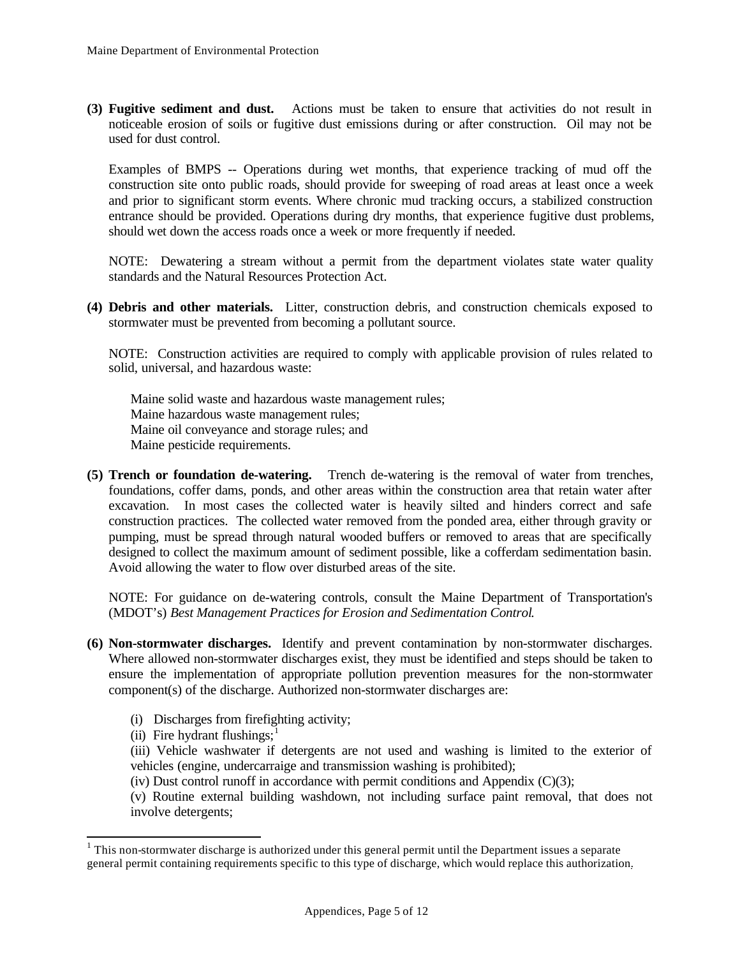**(3) Fugitive sediment and dust.** Actions must be taken to ensure that activities do not result in noticeable erosion of soils or fugitive dust emissions during or after construction. Oil may not be used for dust control.

Examples of BMPS -- Operations during wet months, that experience tracking of mud off the construction site onto public roads, should provide for sweeping of road areas at least once a week and prior to significant storm events. Where chronic mud tracking occurs, a stabilized construction entrance should be provided. Operations during dry months, that experience fugitive dust problems, should wet down the access roads once a week or more frequently if needed.

NOTE: Dewatering a stream without a permit from the department violates state water quality standards and the Natural Resources Protection Act.

**(4) Debris and other materials.** Litter, construction debris, and construction chemicals exposed to stormwater must be prevented from becoming a pollutant source.

NOTE: Construction activities are required to comply with applicable provision of rules related to solid, universal, and hazardous waste:

Maine solid waste and hazardous waste management rules; Maine hazardous waste management rules; Maine oil conveyance and storage rules; and Maine pesticide requirements.

**(5) Trench or foundation de-watering.** Trench de-watering is the removal of water from trenches, foundations, coffer dams, ponds, and other areas within the construction area that retain water after excavation. In most cases the collected water is heavily silted and hinders correct and safe construction practices. The collected water removed from the ponded area, either through gravity or pumping, must be spread through natural wooded buffers or removed to areas that are specifically designed to collect the maximum amount of sediment possible, like a cofferdam sedimentation basin. Avoid allowing the water to flow over disturbed areas of the site.

NOTE: For guidance on de-watering controls, consult the Maine Department of Transportation's (MDOT's) *Best Management Practices for Erosion and Sedimentation Control*.

- **(6) Non-stormwater discharges.** Identify and prevent contamination by non-stormwater discharges. Where allowed non-stormwater discharges exist, they must be identified and steps should be taken to ensure the implementation of appropriate pollution prevention measures for the non-stormwater component(s) of the discharge. Authorized non-stormwater discharges are:
	- (i) Discharges from firefighting activity;
	- (ii) Fire hydrant flushings; $<sup>1</sup>$ </sup>

l

(iii) Vehicle washwater if detergents are not used and washing is limited to the exterior of vehicles (engine, undercarraige and transmission washing is prohibited);

(iv) Dust control runoff in accordance with permit conditions and Appendix  $(C)(3)$ ;

(v) Routine external building washdown, not including surface paint removal, that does not involve detergents;

 $1$  This non-stormwater discharge is authorized under this general permit until the Department issues a separate general permit containing requirements specific to this type of discharge, which would replace this authorization.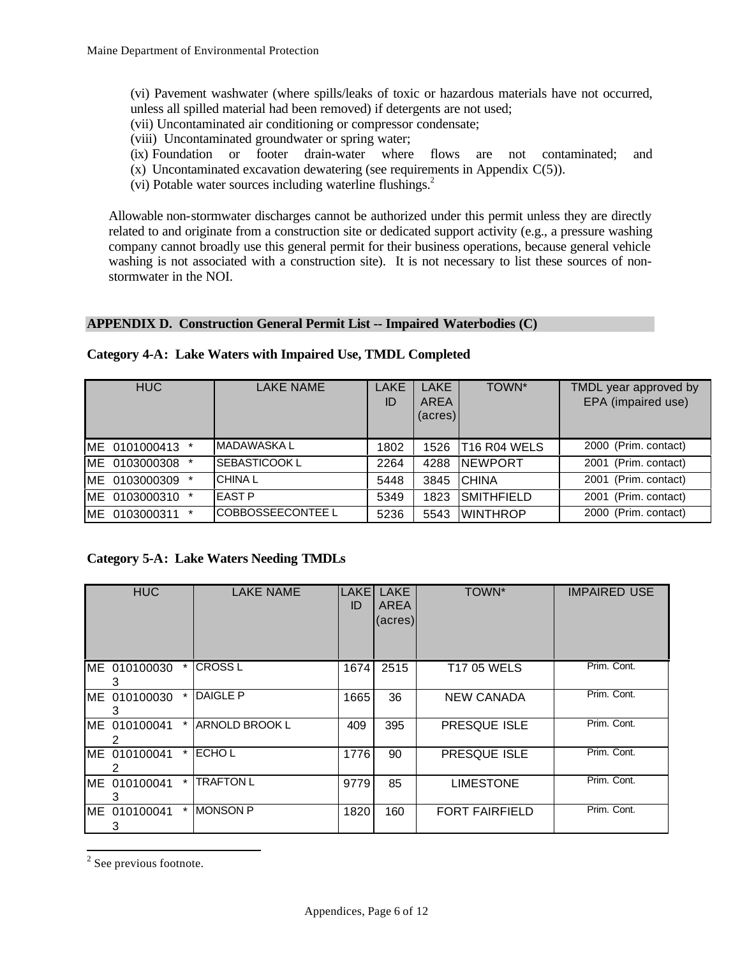- (vi) Pavement washwater (where spills/leaks of toxic or hazardous materials have not occurred, unless all spilled material had been removed) if detergents are not used;
- (vii) Uncontaminated air conditioning or compressor condensate;
- (viii) Uncontaminated groundwater or spring water;
- (ix) Foundation or footer drain-water where flows are not contaminated; and
- $(x)$  Uncontaminated excavation dewatering (see requirements in Appendix  $C(5)$ ).
- (vi) Potable water sources including waterline flushings. $<sup>2</sup>$ </sup>

Allowable non-stormwater discharges cannot be authorized under this permit unless they are directly related to and originate from a construction site or dedicated support activity (e.g., a pressure washing company cannot broadly use this general permit for their business operations, because general vehicle washing is not associated with a construction site). It is not necessary to list these sources of nonstormwater in the NOI.

## **APPENDIX D. Construction General Permit List -- Impaired Waterbodies (C)**

| <b>HUC</b>       | <b>LAKE NAME</b>  | LAKE<br>ID | <b>LAKE</b><br><b>AREA</b><br>$(\text{acres})$ | TOWN*                                | TMDL year approved by<br>EPA (impaired use) |
|------------------|-------------------|------------|------------------------------------------------|--------------------------------------|---------------------------------------------|
| IME 0101000413 * | IMADAWASKA L      | 1802       | 1526                                           | T <sub>16</sub> R <sub>04</sub> WELS | 2000 (Prim. contact)                        |
| ME 0103000308 *  | SEBASTICOOK L     | 2264       | 4288                                           | <b>NEWPORT</b>                       | 2001 (Prim. contact)                        |
| ME 0103000309 *  | <b>CHINAL</b>     | 5448       | 3845                                           | ICHINA                               | 2001 (Prim. contact)                        |
| ME 0103000310 *  | <b>IEAST P</b>    | 5349       | 1823                                           | <b>SMITHFIELD</b>                    | 2001 (Prim. contact)                        |
| ME 0103000311 *  | COBBOSSEECONTEE L | 5236       | 5543                                           | IWINTHROP                            | 2000 (Prim. contact)                        |

## **Category 4-A: Lake Waters with Impaired Use, TMDL Completed**

# **Category 5-A: Lake Waters Needing TMDLs**

| <b>HUC</b>         |            | <b>LAKE NAME</b>  | <b>LAKE</b><br>ID | <b>LAKE</b><br>AREA<br>(acres) | TOWN*                 | <b>IMPAIRED USE</b> |
|--------------------|------------|-------------------|-------------------|--------------------------------|-----------------------|---------------------|
| ME 010100030       | $\star$    | <b>CROSS L</b>    | 1674              | 2515                           | <b>T17 05 WELS</b>    | Prim. Cont.         |
| ME 010100030<br>З  |            | DAIGLE P          | 1665              | 36                             | NEW CANADA            | Prim. Cont.         |
| IME 010100041<br>2 |            | * IARNOLD BROOK L | 409               | 395                            | <b>PRESQUE ISLE</b>   | Prim. Cont.         |
| ME 010100041       |            | * ECHOL           | 1776              | 90                             | PRESQUE ISLE          | Prim. Cont.         |
| ME 010100041       | $^{\star}$ | TRAFTON L         | 9779              | 85                             | <b>LIMESTONE</b>      | Prim. Cont.         |
| ME 010100041<br>3  |            | * IMONSON P       | 1820              | 160                            | <b>FORT FAIRFIELD</b> | Prim. Cont.         |

 $2$  See previous footnote.

l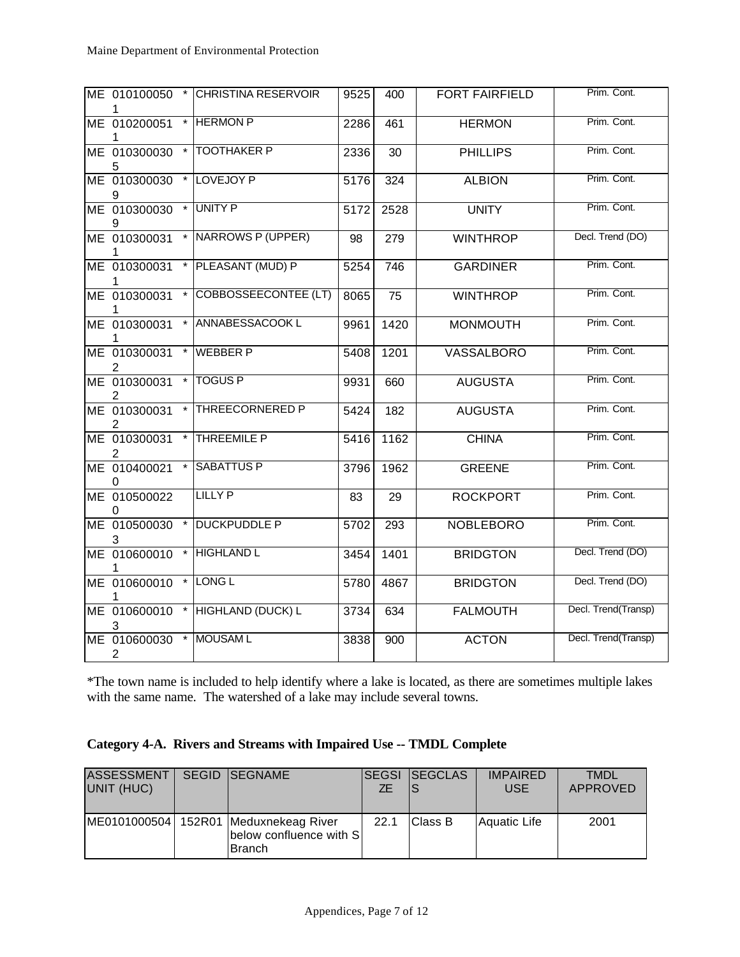| ME 010100050                   |         | <b>CHRISTINA RESERVOIR</b>  | 9525 | 400  | <b>FORT FAIRFIELD</b> | Prim. Cont.         |
|--------------------------------|---------|-----------------------------|------|------|-----------------------|---------------------|
| ME 010200051                   |         | * HERMON P                  | 2286 | 461  | <b>HERMON</b>         | Prim. Cont.         |
| ME 010300030<br>5              | $\star$ | <b>TOOTHAKER P</b>          | 2336 | 30   | <b>PHILLIPS</b>       | Prim. Cont.         |
| ME 010300030<br>9              | $\star$ | LOVEJOY P                   | 5176 | 324  | <b>ALBION</b>         | Prim. Cont.         |
| ME 010300030<br>9              |         | * UNITY P                   | 5172 | 2528 | <b>UNITY</b>          | Prim. Cont.         |
| ME 010300031                   |         | * NARROWS P (UPPER)         | 98   | 279  | <b>WINTHROP</b>       | Decl. Trend (DO)    |
| ME 010300031                   |         | PLEASANT (MUD) P            | 5254 | 746  | <b>GARDINER</b>       | Prim. Cont.         |
| ME 010300031                   |         | <b>COBBOSSEECONTEE (LT)</b> | 8065 | 75   | <b>WINTHROP</b>       | Prim. Cont.         |
| ME 010300031                   |         | ANNABESSACOOK L             | 9961 | 1420 | <b>MONMOUTH</b>       | Prim. Cont.         |
| ME 010300031<br>2              |         | <b>WEBBER P</b>             | 5408 | 1201 | <b>VASSALBORO</b>     | Prim. Cont.         |
| ME 010300031<br>2              |         | <b>TOGUS P</b>              | 9931 | 660  | <b>AUGUSTA</b>        | Prim. Cont.         |
| ME 010300031<br>2              |         | THREECORNERED P             | 5424 | 182  | <b>AUGUSTA</b>        | Prim. Cont.         |
| ME 010300031<br>2              | $\star$ | <b>THREEMILE P</b>          | 5416 | 1162 | <b>CHINA</b>          | Prim. Cont.         |
| ME 010400021<br>0              |         | <b>SABATTUS P</b>           | 3796 | 1962 | <b>GREENE</b>         | Prim. Cont.         |
| ME 010500022                   |         | <b>LILLY P</b>              | 83   | 29   | <b>ROCKPORT</b>       | Prim. Cont.         |
| ME 010500030<br>3              |         | <b>DUCKPUDDLE P</b>         | 5702 | 293  | <b>NOBLEBORO</b>      | Prim. Cont.         |
| ME 010600010                   | $\star$ | <b>HIGHLAND L</b>           | 3454 | 1401 | <b>BRIDGTON</b>       | Decl. Trend (DO)    |
| ME 010600010<br>1              | $\star$ | LONG <sub>L</sub>           | 5780 | 4867 | <b>BRIDGTON</b>       | Decl. Trend (DO)    |
| ME 010600010<br>3              |         | * HIGHLAND (DUCK) L         | 3734 | 634  | <b>FALMOUTH</b>       | Decl. Trend(Transp) |
| ME 010600030<br>$\overline{2}$ |         | * MOUSAM L                  | 3838 | 900  | <b>ACTON</b>          | Decl. Trend(Transp) |

\*The town name is included to help identify where a lake is located, as there are sometimes multiple lakes with the same name. The watershed of a lake may include several towns.

|  | Category 4-A. Rivers and Streams with Impaired Use -- TMDL Complete |  |
|--|---------------------------------------------------------------------|--|
|  |                                                                     |  |

| <b>ASSESSMENT</b><br>UNIT (HUC) | <b>SEGID ISEGNAME</b>                                                             | ZF.  | <b>ISEGSI ISEGCLAS</b> | <b>IMPAIRED</b><br><b>USE</b> | <b>TMDL</b><br>APPROVED |
|---------------------------------|-----------------------------------------------------------------------------------|------|------------------------|-------------------------------|-------------------------|
|                                 | ME0101000504 152R01 Meduxnekeag River<br>below confluence with S<br><b>Branch</b> | 22.1 | <b>Class B</b>         | Aquatic Life                  | 2001                    |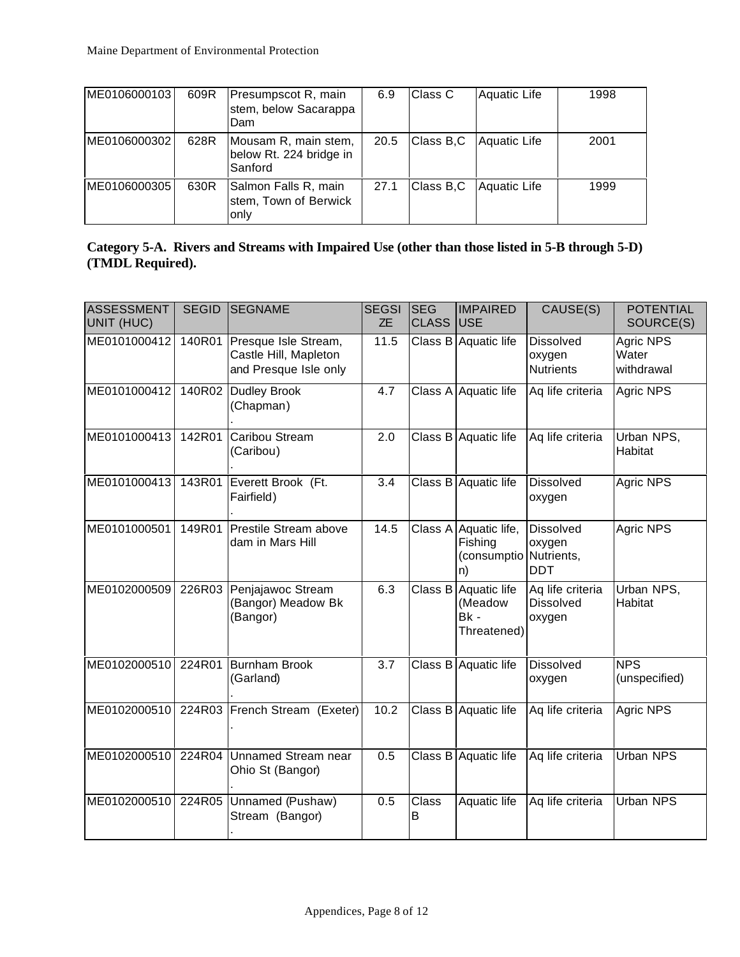| ME0106000103 | 609R | Presumpscot R, main<br>stem, below Sacarappa<br>Dam        | 6.9  | Class C   | Aquatic Life | 1998 |
|--------------|------|------------------------------------------------------------|------|-----------|--------------|------|
| ME0106000302 | 628R | Mousam R, main stem,<br>below Rt. 224 bridge in<br>Sanford | 20.5 | Class B.C | Aquatic Life | 2001 |
| ME0106000305 | 630R | Salmon Falls R, main<br>stem, Town of Berwick<br>only      | 27.1 | Class B.C | Aquatic Life | 1999 |

|                  | Category 5-A. Rivers and Streams with Impaired Use (other than those listed in 5-B through 5-D) |  |  |
|------------------|-------------------------------------------------------------------------------------------------|--|--|
| (TMDL Required). |                                                                                                 |  |  |

| <b>ASSESSMENT</b><br>UNIT (HUC) | <b>SEGID</b> | <b>SEGNAME</b>                                                         | <b>SEGSI</b><br><b>ZE</b> | <b>SEG</b><br><b>CLASS</b> | <b>IMPAIRED</b><br><b>IUSE</b>                                   | CAUSE(S)                                       | <b>POTENTIAL</b><br>SOURCE(S)    |
|---------------------------------|--------------|------------------------------------------------------------------------|---------------------------|----------------------------|------------------------------------------------------------------|------------------------------------------------|----------------------------------|
| ME0101000412                    | 140R01       | Presque Isle Stream,<br>Castle Hill, Mapleton<br>and Presque Isle only | 11.5                      |                            | Class B Aquatic life                                             | <b>Dissolved</b><br>oxygen<br><b>Nutrients</b> | Agric NPS<br>Water<br>withdrawal |
| ME0101000412                    |              | 140R02 Dudley Brook<br>(Chapman)                                       | 4.7                       |                            | Class A Aquatic life                                             | Aq life criteria                               | Agric NPS                        |
| ME0101000413                    | 142R01       | Caribou Stream<br>(Caribou)                                            | 2.0                       |                            | Class B Aquatic life                                             | Aq life criteria                               | Urban NPS,<br>Habitat            |
| ME0101000413                    | 143R01       | Everett Brook (Ft.<br>Fairfield)                                       | 3.4                       |                            | Class B Aquatic life                                             | <b>Dissolved</b><br>oxygen                     | Agric NPS                        |
| ME0101000501                    | 149R01       | Prestile Stream above<br>dam in Mars Hill                              | 14.5                      |                            | Class A Aquatic life,<br>Fishing<br>(consumptio Nutrients,<br>n) | <b>Dissolved</b><br>oxygen<br><b>DDT</b>       | Agric NPS                        |
| ME0102000509                    | 226R03       | Penjajawoc Stream<br>(Bangor) Meadow Bk<br>(Bangor)                    | 6.3                       |                            | Class B Aquatic life<br>(Meadow<br>$Bk -$<br>Threatened)         | Aq life criteria<br><b>Dissolved</b><br>oxygen | Urban NPS,<br>Habitat            |
| ME0102000510                    | 224R01       | <b>Burnham Brook</b><br>(Garland)                                      | 3.7                       |                            | Class B Aquatic life                                             | <b>Dissolved</b><br>oxygen                     | <b>NPS</b><br>(unspecified)      |
| ME0102000510                    |              | 224R03 French Stream (Exeter)                                          | 10.2                      |                            | Class B Aquatic life                                             | Aq life criteria                               | Agric NPS                        |
| ME0102000510                    | 224R04       | Unnamed Stream near<br>Ohio St (Bangor)                                | 0.5                       |                            | Class B Aquatic life                                             | Aq life criteria                               | Urban NPS                        |
| ME0102000510                    |              | 224R05 Unnamed (Pushaw)<br>Stream (Bangor)                             | 0.5                       | Class<br>B                 | Aquatic life                                                     | Aq life criteria                               | <b>Urban NPS</b>                 |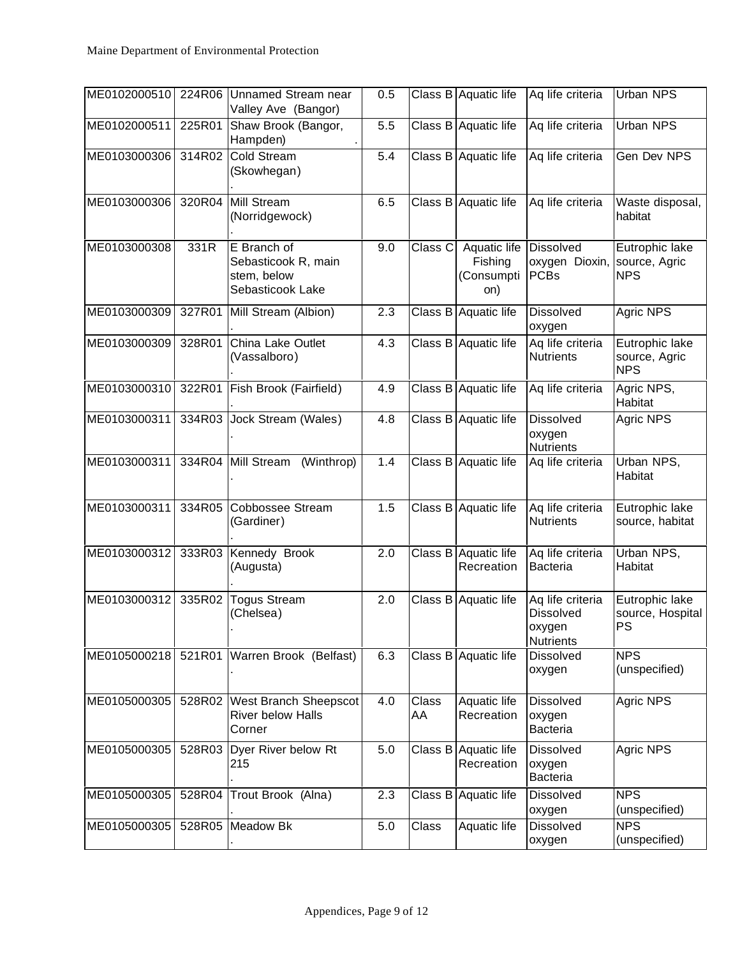| ME0102000510 | 224R06 | Unnamed Stream near<br>Valley Ave (Bangor)                            | 0.5 |             | Class B Aquatic life                         | Aq life criteria                                                   | Urban NPS                                       |
|--------------|--------|-----------------------------------------------------------------------|-----|-------------|----------------------------------------------|--------------------------------------------------------------------|-------------------------------------------------|
| ME0102000511 | 225R01 | Shaw Brook (Bangor,<br>Hampden)                                       | 5.5 |             | Class B Aquatic life                         | Aq life criteria                                                   | Urban NPS                                       |
| ME0103000306 | 314R02 | Cold Stream<br>(Skowhegan)                                            | 5.4 |             | Class B Aquatic life                         | Aq life criteria                                                   | Gen Dev NPS                                     |
| ME0103000306 | 320R04 | Mill Stream<br>(Norridgewock)                                         | 6.5 | Class B     | Aquatic life                                 | Aq life criteria                                                   | Waste disposal,<br>habitat                      |
| ME0103000308 | 331R   | E Branch of<br>Sebasticook R, main<br>stem, below<br>Sebasticook Lake | 9.0 | Class C     | Aquatic life<br>Fishing<br>(Consumpti<br>on) | <b>Dissolved</b><br>oxygen Dioxin,<br><b>PCBs</b>                  | Eutrophic lake<br>source, Agric<br><b>NPS</b>   |
| ME0103000309 | 327R01 | Mill Stream (Albion)                                                  | 2.3 |             | Class B Aquatic life                         | <b>Dissolved</b><br>oxygen                                         | Agric NPS                                       |
| ME0103000309 | 328R01 | China Lake Outlet<br>(Vassalboro)                                     | 4.3 |             | Class B Aquatic life                         | Aq life criteria<br><b>Nutrients</b>                               | Eutrophic lake<br>source, Agric<br><b>NPS</b>   |
| ME0103000310 |        | 322R01 Fish Brook (Fairfield)                                         | 4.9 |             | Class B Aquatic life                         | Aq life criteria                                                   | Agric NPS,<br>Habitat                           |
| ME0103000311 | 334R03 | Jock Stream (Wales)                                                   | 4.8 | Class B     | Aquatic life                                 | <b>Dissolved</b><br>oxygen<br><b>Nutrients</b>                     | Agric NPS                                       |
| ME0103000311 | 334R04 | Mill Stream<br>(Winthrop)                                             | 1.4 | Class B     | Aquatic life                                 | Aq life criteria                                                   | Urban NPS,<br>Habitat                           |
| ME0103000311 | 334R05 | Cobbossee Stream<br>(Gardiner)                                        | 1.5 | Class B     | Aquatic life                                 | Aq life criteria<br><b>Nutrients</b>                               | Eutrophic lake<br>source, habitat               |
| ME0103000312 | 333R03 | Kennedy Brook<br>(Augusta)                                            | 2.0 |             | Class B Aquatic life<br>Recreation           | Aq life criteria<br>Bacteria                                       | Urban NPS,<br>Habitat                           |
| ME0103000312 | 335R02 | <b>Togus Stream</b><br>(Chelsea)                                      | 2.0 | Class B     | Aquatic life                                 | Aq life criteria<br><b>Dissolved</b><br>oxygen<br><b>Nutrients</b> | Eutrophic lake<br>source, Hospital<br><b>PS</b> |
| ME0105000218 |        | 521R01 Warren Brook (Belfast)                                         | 6.3 |             | Class B Aquatic life                         | <b>Dissolved</b><br>oxygen                                         | <b>NPS</b><br>(unspecified)                     |
| ME0105000305 | 528R02 | West Branch Sheepscot<br><b>River below Halls</b><br>Corner           | 4.0 | Class<br>AA | Aquatic life<br>Recreation                   | <b>Dissolved</b><br>oxygen<br>Bacteria                             | Agric NPS                                       |
| ME0105000305 | 528R03 | Dyer River below Rt<br>215                                            | 5.0 |             | Class B Aquatic life<br>Recreation           | <b>Dissolved</b><br>oxygen<br>Bacteria                             | Agric NPS                                       |
| ME0105000305 | 528R04 | Trout Brook (Alna)                                                    | 2.3 | Class B     | Aquatic life                                 | <b>Dissolved</b><br>oxygen                                         | <b>NPS</b><br>(unspecified)                     |
| ME0105000305 |        | 528R05 Meadow Bk                                                      | 5.0 | Class       | Aquatic life                                 | <b>Dissolved</b><br>oxygen                                         | <b>NPS</b><br>(unspecified)                     |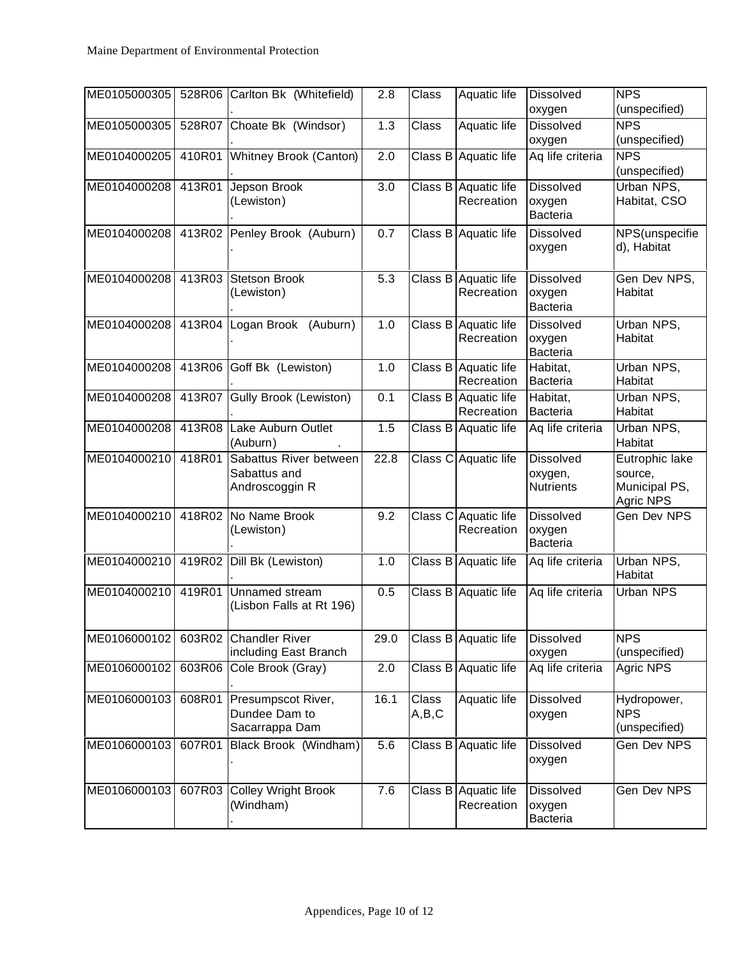| ME0105000305 |        | 528R06 Carlton Bk (Whitefield)                           | 2.8  | Class          | Aquatic life                       | <b>Dissolved</b><br>oxygen                      | <b>NPS</b><br>(unspecified)                             |
|--------------|--------|----------------------------------------------------------|------|----------------|------------------------------------|-------------------------------------------------|---------------------------------------------------------|
| ME0105000305 | 528R07 | Choate Bk (Windsor)                                      | 1.3  | Class          | Aquatic life                       | <b>Dissolved</b><br>oxygen                      | <b>NPS</b><br>(unspecified)                             |
| ME0104000205 | 410R01 | Whitney Brook (Canton)                                   | 2.0  | Class B        | Aquatic life                       | Aq life criteria                                | <b>NPS</b><br>(unspecified)                             |
| ME0104000208 | 413R01 | Jepson Brook<br>(Lewiston)                               | 3.0  | Class B        | Aquatic life<br>Recreation         | <b>Dissolved</b><br>oxygen<br><b>Bacteria</b>   | Urban NPS,<br>Habitat, CSO                              |
| ME0104000208 | 413R02 | Penley Brook (Auburn)                                    | 0.7  | Class B        | Aquatic life                       | <b>Dissolved</b><br>oxygen                      | NPS(unspecifie<br>d), Habitat                           |
| ME0104000208 | 413R03 | <b>Stetson Brook</b><br>(Lewiston)                       | 5.3  |                | Class B Aquatic life<br>Recreation | <b>Dissolved</b><br>oxygen<br><b>Bacteria</b>   | Gen Dev NPS,<br>Habitat                                 |
| ME0104000208 | 413R04 | Logan Brook<br>(Auburn)                                  | 1.0  | Class B        | Aquatic life<br>Recreation         | <b>Dissolved</b><br>oxygen<br><b>Bacteria</b>   | Urban NPS,<br>Habitat                                   |
| ME0104000208 | 413R06 | Goff Bk (Lewiston)                                       | 1.0  |                | Class B Aquatic life<br>Recreation | Habitat,<br><b>Bacteria</b>                     | Urban NPS,<br>Habitat                                   |
| ME0104000208 | 413R07 | <b>Gully Brook (Lewiston)</b>                            | 0.1  | Class B        | Aquatic life<br>Recreation         | Habitat,<br><b>Bacteria</b>                     | Urban NPS,<br>Habitat                                   |
| ME0104000208 | 413R08 | Lake Auburn Outlet<br>(Auburn)                           | 1.5  | Class B        | Aquatic life                       | Aq life criteria                                | Urban NPS,<br>Habitat                                   |
| ME0104000210 | 418R01 | Sabattus River between<br>Sabattus and<br>Androscoggin R | 22.8 | Class C        | Aquatic life                       | <b>Dissolved</b><br>oxygen,<br><b>Nutrients</b> | Eutrophic lake<br>source,<br>Municipal PS,<br>Agric NPS |
| ME0104000210 | 418R02 | No Name Brook<br>(Lewiston)                              | 9.2  | Class C        | Aquatic life<br>Recreation         | <b>Dissolved</b><br>oxygen<br><b>Bacteria</b>   | Gen Dev NPS                                             |
| ME0104000210 | 419R02 | Dill Bk (Lewiston)                                       | 1.0  | Class B        | Aquatic life                       | Aq life criteria                                | Urban NPS,<br>Habitat                                   |
| ME0104000210 | 419R01 | Unnamed stream<br>(Lisbon Falls at Rt 196)               | 0.5  | Class B        | Aquatic life                       | Aq life criteria                                | <b>Urban NPS</b>                                        |
| ME0106000102 | 603R02 | <b>Chandler River</b><br>including East Branch           | 29.0 |                | Class B Aquatic life               | <b>Dissolved</b><br>oxygen                      | <b>NPS</b><br>(unspecified)                             |
| ME0106000102 | 603R06 | Cole Brook (Gray)                                        | 2.0  | Class B        | Aquatic life                       | Aq life criteria                                | Agric NPS                                               |
| ME0106000103 | 608R01 | Presumpscot River,<br>Dundee Dam to<br>Sacarrappa Dam    | 16.1 | Class<br>A,B,C | Aquatic life                       | <b>Dissolved</b><br>oxygen                      | Hydropower,<br><b>NPS</b><br>(unspecified)              |
| ME0106000103 | 607R01 | Black Brook (Windham)                                    | 5.6  | Class B        | Aquatic life                       | <b>Dissolved</b><br>oxygen                      | Gen Dev NPS                                             |
| ME0106000103 | 607R03 | <b>Colley Wright Brook</b><br>(Windham)                  | 7.6  | Class B        | Aquatic life<br>Recreation         | <b>Dissolved</b><br>oxygen<br><b>Bacteria</b>   | Gen Dev NPS                                             |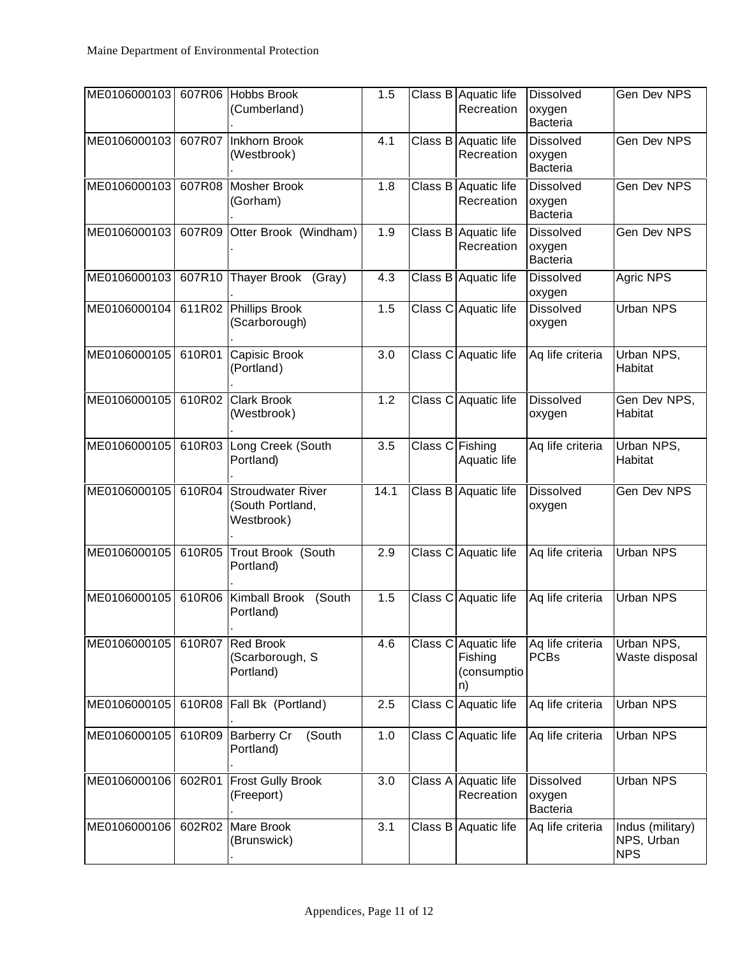| ME0106000103 | 607R06 | Hobbs Brook<br>(Cumberland)                                | 1.5  |                 | Class B Aquatic life<br>Recreation                   | <b>Dissolved</b><br>oxygen<br><b>Bacteria</b> | Gen Dev NPS                                  |
|--------------|--------|------------------------------------------------------------|------|-----------------|------------------------------------------------------|-----------------------------------------------|----------------------------------------------|
| ME0106000103 |        | 607R07 Inkhorn Brook<br>(Westbrook)                        | 4.1  |                 | Class B Aquatic life<br>Recreation                   | <b>Dissolved</b><br>oxygen<br><b>Bacteria</b> | Gen Dev NPS                                  |
| ME0106000103 | 607R08 | Mosher Brook<br>(Gorham)                                   | 1.8  |                 | Class B Aquatic life<br>Recreation                   | <b>Dissolved</b><br>oxygen<br><b>Bacteria</b> | Gen Dev NPS                                  |
| ME0106000103 | 607R09 | Otter Brook (Windham)                                      | 1.9  |                 | Class B Aquatic life<br>Recreation                   | <b>Dissolved</b><br>oxygen<br><b>Bacteria</b> | Gen Dev NPS                                  |
| ME0106000103 | 607R10 | Thayer Brook (Gray)                                        | 4.3  | Class B         | Aquatic life                                         | <b>Dissolved</b><br>oxygen                    | Agric NPS                                    |
| ME0106000104 |        | 611R02 Phillips Brook<br>(Scarborough)                     | 1.5  |                 | Class C Aquatic life                                 | <b>Dissolved</b><br>oxygen                    | <b>Urban NPS</b>                             |
| ME0106000105 | 610R01 | Capisic Brook<br>(Portland)                                | 3.0  | Class C         | Aquatic life                                         | Aq life criteria                              | Urban NPS,<br>Habitat                        |
| ME0106000105 | 610R02 | Clark Brook<br>(Westbrook)                                 | 1.2  |                 | Class C Aquatic life                                 | <b>Dissolved</b><br>oxygen                    | Gen Dev NPS,<br>Habitat                      |
| ME0106000105 | 610R03 | Long Creek (South<br>Portland)                             | 3.5  | Class C Fishing | Aquatic life                                         | Aq life criteria                              | Urban NPS,<br>Habitat                        |
| ME0106000105 | 610R04 | <b>Stroudwater River</b><br>(South Portland,<br>Westbrook) | 14.1 | Class B         | Aquatic life                                         | <b>Dissolved</b><br>oxygen                    | Gen Dev NPS                                  |
| ME0106000105 | 610R05 | Trout Brook (South<br>Portland)                            | 2.9  |                 | Class C Aquatic life                                 | Aq life criteria                              | <b>Urban NPS</b>                             |
| ME0106000105 | 610R06 | Kimball Brook<br>(South<br>Portland)                       | 1.5  |                 | Class C Aquatic life                                 | Aq life criteria                              | <b>Urban NPS</b>                             |
| ME0106000105 | 610R07 | Red Brook<br>(Scarborough, S<br>Portland)                  | 4.6  |                 | Class C Aquatic life<br>Fishing<br>(consumptio<br>n) | Aq life criteria<br><b>PCBs</b>               | Urban NPS,<br>Waste disposal                 |
| ME0106000105 | 610R08 | Fall Bk (Portland)                                         | 2.5  | Class C         | Aquatic life                                         | Aq life criteria                              | Urban NPS                                    |
| ME0106000105 | 610R09 | <b>Barberry Cr</b><br>(South<br>Portland)                  | 1.0  |                 | Class C Aquatic life                                 | Aq life criteria                              | Urban NPS                                    |
| ME0106000106 | 602R01 | <b>Frost Gully Brook</b><br>(Freeport)                     | 3.0  |                 | Class A Aquatic life<br>Recreation                   | <b>Dissolved</b><br>oxygen<br><b>Bacteria</b> | Urban NPS                                    |
| ME0106000106 | 602R02 | Mare Brook<br>(Brunswick)                                  | 3.1  |                 | Class B Aquatic life                                 | Aq life criteria                              | Indus (military)<br>NPS, Urban<br><b>NPS</b> |